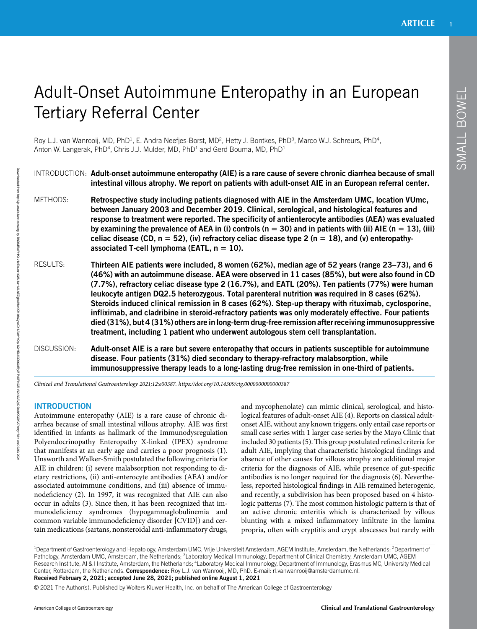# Adult-Onset Autoimmune Enteropathy in an European Tertiary Referral Center

Roy L.J. van Wanrooij, MD, PhD<sup>1</sup>, E. Andra Neefjes-Borst, MD<sup>2</sup>, Hetty J. Bontkes, PhD<sup>3</sup>, Marco W.J. Schreurs, PhD<sup>4</sup>, Anton W. Langerak, PhD<sup>4</sup>, Chris J.J. Mulder, MD, PhD<sup>1</sup> and Gerd Bouma, MD, PhD<sup>1</sup>

INTRODUCTION: Adult-onset autoimmune enteropathy (AIE) is a rare cause of severe chronic diarrhea because of small intestinal villous atrophy. We report on patients with adult-onset AIE in an European referral center. METHODS: Retrospective study including patients diagnosed with AIE in the Amsterdam UMC, location VUmc, between January 2003 and December 2019. Clinical, serological, and histological features and response to treatment were reported. The specificity of antienterocyte antibodies (AEA) was evaluated by examining the prevalence of AEA in (i) controls ( $n = 30$ ) and in patients with (ii) AIE ( $n = 13$ ), (iii) celiac disease (CD,  $n = 52$ ), (iv) refractory celiac disease type 2 ( $n = 18$ ), and (v) enteropathyassociated T-cell lymphoma (EATL,  $n = 10$ ). RESULTS: Thirteen AIE patients were included, 8 women (62%), median age of 52 years (range 23–73), and 6 (46%) with an autoimmune disease. AEA were observed in 11 cases (85%), but were also found in CD (7.7%), refractory celiac disease type 2 (16.7%), and EATL (20%). Ten patients (77%) were human leukocyte antigen DQ2.5 heterozygous. Total parenteral nutrition was required in 8 cases (62%). Steroids induced clinical remission in 8 cases (62%). Step-up therapy with rituximab, cyclosporine, infliximab, and cladribine in steroid-refractory patients was only moderately effective. Four patients died (31%), but 4 (31%) others are in long-term drug-free remission after receiving immunosuppressive treatment, including 1 patient who underwent autologous stem cell transplantation. DISCUSSION: Adult-onset AIE is a rare but severe enteropathy that occurs in patients susceptible for autoimmune disease. Four patients (31%) died secondary to therapy-refractory malabsorption, while immunosuppressive therapy leads to a long-lasting drug-free remission in one-third of patients.

Clinical and Translational Gastroenterology 2021;12:e00387.<https://doi.org/10.14309/ctg.0000000000000387>

## **INTRODUCTION**

Autoimmune enteropathy (AIE) is a rare cause of chronic diarrhea because of small intestinal villous atrophy. AIE was first identified in infants as hallmark of the Immunodysregulation Polyendocrinopathy Enteropathy X-linked (IPEX) syndrome that manifests at an early age and carries a poor prognosis (1). Unsworth and Walker-Smith postulated the following criteria for AIE in children: (i) severe malabsorption not responding to dietary restrictions, (ii) anti-enterocyte antibodies (AEA) and/or associated autoimmune conditions, and (iii) absence of immunodeficiency (2). In 1997, it was recognized that AIE can also occur in adults (3). Since then, it has been recognized that immunodeficiency syndromes (hypogammaglobulinemia and common variable immunodeficiency disorder [CVID]) and certain medications (sartans, nonsteroidal anti-inflammatory drugs, and mycophenolate) can mimic clinical, serological, and histological features of adult-onset AIE (4). Reports on classical adultonset AIE, without any known triggers, only entail case reports or small case series with 1 larger case series by the Mayo Clinic that included 30 patients (5). This group postulated refined criteria for adult AIE, implying that characteristic histological findings and absence of other causes for villous atrophy are additional major criteria for the diagnosis of AIE, while presence of gut-specific antibodies is no longer required for the diagnosis (6). Nevertheless, reported histological findings in AIE remained heterogenic, and recently, a subdivision has been proposed based on 4 histologic patterns (7). The most common histologic pattern is that of an active chronic enteritis which is characterized by villous blunting with a mixed inflammatory infiltrate in the lamina propria, often with cryptitis and crypt abscesses but rarely with

<sup>1</sup>Department of Gastroenterology and Hepatology, Amsterdam UMC, Vrije Universiteit Amsterdam, AGEM Institute, Amsterdam, the Netherlands; <sup>2</sup>Department of Pathology, Amsterdam UMC, Amsterdam, the Netherlands; <sup>3</sup>Laboratory Medical Immunology, Department of Clinical Chemistry, Amsterdam UMC, AGEM Research Institute, AI & I Institute, Amsterdam, the Netherlands; <sup>4</sup>Laboratory Medical Immunology, Department of Immunology, Erasmus MC, University Medical Center, Rotterdam, the Netherlands. Correspondence: Roy L.J. van Wanrooij, MD, PhD. E-mail: [rl.vanwanrooij@amsterdamumc.nl](mailto:rl.vanwanrooij@amsterdamumc.nl). Received February 2, 2021; accepted June 28, 2021; published online August 1, 2021

© 2021 The Author(s). Published by Wolters Kluwer Health, Inc. on behalf of The American College of Gastroenterology

Downloaded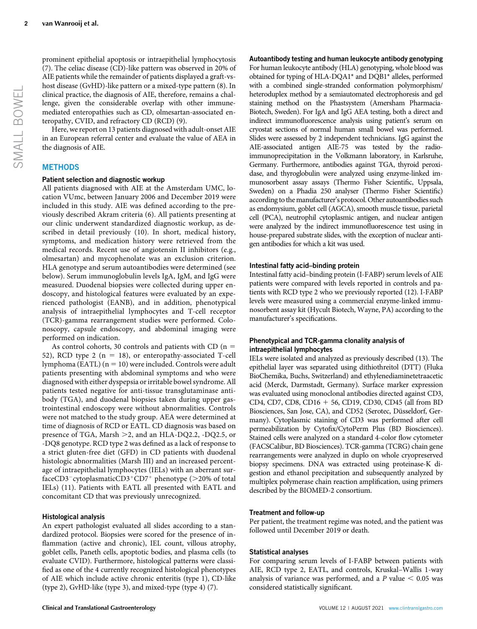Here, we report on 13 patients diagnosed with adult-onset AIE in an European referral center and evaluate the value of AEA in the diagnosis of AIE.

## **METHODS**

#### Patient selection and diagnostic workup

All patients diagnosed with AIE at the Amsterdam UMC, location VUmc, between January 2006 and December 2019 were included in this study. AIE was defined according to the previously described Akram criteria (6). All patients presenting at our clinic underwent standardized diagnostic workup, as described in detail previously (10). In short, medical history, symptoms, and medication history were retrieved from the medical records. Recent use of angiotensin II inhibitors (e.g., olmesartan) and mycophenolate was an exclusion criterion. HLA genotype and serum autoantibodies were determined (see below). Serum immunoglobulin levels IgA, IgM, and IgG were measured. Duodenal biopsies were collected during upper endoscopy, and histological features were evaluated by an experienced pathologist (EANB), and in addition, phenotypical analysis of intraepithelial lymphocytes and T-cell receptor (TCR)-gamma rearrangement studies were performed. Colonoscopy, capsule endoscopy, and abdominal imaging were performed on indication.

As control cohorts, 30 controls and patients with CD ( $n =$ 52), RCD type 2 ( $n = 18$ ), or enteropathy-associated T-cell lymphoma (EATL)  $(n = 10)$  were included. Controls were adult patients presenting with abdominal symptoms and who were diagnosed with either dyspepsia or irritable bowel syndrome. All patients tested negative for anti-tissue transglutaminase antibody (TGA), and duodenal biopsies taken during upper gastrointestinal endoscopy were without abnormalities. Controls were not matched to the study group. AEA were determined at time of diagnosis of RCD or EATL. CD diagnosis was based on presence of TGA, Marsh >2, and an HLA-DQ2.2, -DQ2.5, or -DQ8 genotype. RCD type 2 was defined as a lack of response to a strict gluten-free diet (GFD) in CD patients with duodenal histologic abnormalities (Marsh III) and an increased percentage of intraepithelial lymphocytes (IELs) with an aberrant surfaceCD3<sup>-</sup>cytoplasmaticCD3<sup>+</sup>CD7<sup>+</sup> phenotype ( $>$ 20% of total IELs) (11). Patients with EATL all presented with EATL and concomitant CD that was previously unrecognized.

#### Histological analysis

An expert pathologist evaluated all slides according to a standardized protocol. Biopsies were scored for the presence of inflammation (active and chronic), IEL count, villous atrophy, goblet cells, Paneth cells, apoptotic bodies, and plasma cells (to evaluate CVID). Furthermore, histological patterns were classified as one of the 4 currently recognized histological phenotypes of AIE which include active chronic enteritis (type 1), CD-like (type 2), GvHD-like (type 3), and mixed-type (type 4) (7).

Autoantibody testing and human leukocyte antibody genotyping For human leukocyte antibody (HLA) genotyping, whole blood was obtained for typing of HLA-DQA1\* and DQB1\* alleles, performed with a combined single-stranded conformation polymorphism/ heteroduplex method by a semiautomated electrophoresis and gel staining method on the Phastsystem (Amersham Pharmacia-Biotech, Sweden). For IgA and IgG AEA testing, both a direct and indirect immunofluorescence analysis using patient's serum on cryostat sections of normal human small bowel was performed. Slides were assessed by 2 independent technicians. IgG against the AIE-associated antigen AIE-75 was tested by the radioimmunoprecipitation in the Volkmann laboratory, in Karlsruhe, Germany. Furthermore, antibodies against TGA, thyroid peroxidase, and thyroglobulin were analyzed using enzyme-linked immunosorbent assay assays (Thermo Fisher Scientific, Uppsala, Sweden) on a Phadia 250 analyser (Thermo Fisher Scientific) according to the manufacturer's protocol. Other autoantibodies such as endomysium, goblet cell (AGCA), smooth muscle tissue, parietal cell (PCA), neutrophil cytoplasmic antigen, and nuclear antigen were analyzed by the indirect immunofluorescence test using in house-prepared substrate slides, with the exception of nuclear antigen antibodies for which a kit was used.

#### Intestinal fatty acid–binding protein

Intestinal fatty acid–binding protein (I-FABP) serum levels of AIE patients were compared with levels reported in controls and patients with RCD type 2 who we previously reported (12). I-FABP levels were measured using a commercial enzyme-linked immunosorbent assay kit (Hycult Biotech, Wayne, PA) according to the manufacturer's specifications.

#### Phenotypical and TCR-gamma clonality analysis of intraepithelial lymphocytes

IELs were isolated and analyzed as previously described (13). The epithelial layer was separated using dithiothreitol (DTT) (Fluka BioChemika, Buchs, Switzerland) and ethylenediaminetetraacetic acid (Merck, Darmstadt, Germany). Surface marker expression was evaluated using monoclonal antibodies directed against CD3, CD4, CD7, CD8, CD16  $+$  56, CD19, CD30, CD45 (all from BD Biosciences, San Jose, CA), and CD52 (Serotec, Düsseldorf, Germany). Cytoplasmic staining of CD3 was performed after cell permeabilization by Cytofix/CytoPerm Plus (BD Biosciences). Stained cells were analyzed on a standard 4-color flow cytometer (FACSCalibur, BD Biosciences). TCR-gamma (TCRG) chain gene rearrangements were analyzed in duplo on whole cryopreserved biopsy specimens. DNA was extracted using proteinase-K digestion and ethanol precipitation and subsequently analyzed by multiplex polymerase chain reaction amplification, using primers described by the BIOMED-2 consortium.

#### Treatment and follow-up

Per patient, the treatment regime was noted, and the patient was followed until December 2019 or death.

#### Statistical analyses

For comparing serum levels of I-FABP between patients with AIE, RCD type 2, EATL, and controls, Kruskal–Wallis 1-way analysis of variance was performed, and a  $P$  value  $< 0.05$  was considered statistically significant.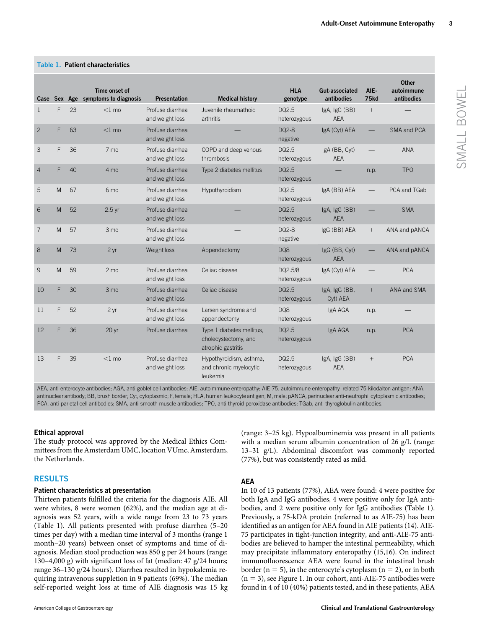| Case           |                                                                                                                                                               | Sex Age | Time onset of<br>symptoms to diagnosis | <b>Presentation</b>                 | <b>Medical history</b>                                                  | <b>HLA</b><br>genotype  | Gut-associated<br>antibodies | AIE-<br>75kd    | <b>Other</b><br>autoimmune<br>antibodies |  |  |
|----------------|---------------------------------------------------------------------------------------------------------------------------------------------------------------|---------|----------------------------------------|-------------------------------------|-------------------------------------------------------------------------|-------------------------|------------------------------|-----------------|------------------------------------------|--|--|
| $\mathbf{1}$   | F                                                                                                                                                             | 23      | $<$ 1 mo                               | Profuse diarrhea<br>and weight loss | Juvenile rheumathoid<br>arthritis                                       | DQ2.5<br>heterozygous   | IgA, IgG (BB)<br><b>AEA</b>  | $^{+}$          |                                          |  |  |
| $\overline{c}$ | F                                                                                                                                                             | 63      | $<$ 1 mo                               | Profuse diarrhea<br>and weight loss |                                                                         | DQ2-8<br>negative       | IgA (Cyt) AEA                |                 | SMA and PCA                              |  |  |
| 3              | F                                                                                                                                                             | 36      | 7 mo                                   | Profuse diarrhea<br>and weight loss | COPD and deep venous<br>thrombosis                                      | DQ2.5<br>heterozygous   | IgA (BB, Cyt)<br><b>AEA</b>  |                 | ANA                                      |  |  |
| $\overline{4}$ | F                                                                                                                                                             | 40      | 4 mo                                   | Profuse diarrhea<br>and weight loss | Type 2 diabetes mellitus                                                | DQ2.5<br>heterozygous   |                              | n.p.            | <b>TPO</b>                               |  |  |
| 5              | M                                                                                                                                                             | 67      | 6 mo                                   | Profuse diarrhea<br>and weight loss | Hypothyroidism                                                          | DQ2.5<br>heterozygous   | IgA (BB) AEA                 |                 | PCA and TGab                             |  |  |
| 6              | M                                                                                                                                                             | 52      | $2.5$ yr                               | Profuse diarrhea<br>and weight loss |                                                                         | DQ2.5<br>heterozygous   | IgA, IgG (BB)<br><b>AEA</b>  |                 | <b>SMA</b>                               |  |  |
| 7              | M                                                                                                                                                             | 57      | 3 mo                                   | Profuse diarrhea<br>and weight loss |                                                                         | DQ2-8<br>negative       | IgG (BB) AEA                 | $\! + \!\!\!\!$ | ANA and pANCA                            |  |  |
| 8              | M                                                                                                                                                             | 73      | 2 <sub>yr</sub>                        | Weight loss                         | Appendectomy                                                            | DQ8<br>heterozygous     | IgG (BB, Cyt)<br><b>AEA</b>  |                 | ANA and pANCA                            |  |  |
| 9              | M                                                                                                                                                             | 59      | 2 <sub>mo</sub>                        | Profuse diarrhea<br>and weight loss | Celiac disease                                                          | DQ2.5/8<br>heterozygous | IgA (Cyt) AEA                |                 | <b>PCA</b>                               |  |  |
| 10             | F                                                                                                                                                             | 30      | 3 <sub>mo</sub>                        | Profuse diarrhea<br>and weight loss | Celiac disease                                                          | DQ2.5<br>heterozygous   | IgA, IgG (BB,<br>Cyt) AEA    | $+$             | ANA and SMA                              |  |  |
| 11             | F                                                                                                                                                             | 52      | 2 <sub>yr</sub>                        | Profuse diarrhea<br>and weight loss | Larsen syndrome and<br>appendectomy                                     | DQ8<br>heterozygous     | IgA AGA                      | n.p.            |                                          |  |  |
| 12             | F                                                                                                                                                             | 36      | 20 <sub>yr</sub>                       | Profuse diarrhea                    | Type 1 diabetes mellitus.<br>cholecystectomy, and<br>atrophic gastritis | DQ2.5<br>heterozygous   | IgA AGA                      | n.p.            | <b>PCA</b>                               |  |  |
| 13             | F                                                                                                                                                             | 39      | $<$ 1 mo                               | Profuse diarrhea<br>and weight loss | Hypothyroidism, asthma,<br>and chronic myelocytic<br>leukemia           | DQ2.5<br>heterozygous   | IgA, IgG (BB)<br><b>AEA</b>  | $^{+}$          | <b>PCA</b>                               |  |  |
|                | AEA anti-enterocyte antibodies: ACA anti-goblet cell antibodies: AIE autoimmune enteropathy: AIE-75 autoimmune enteropathy-related 75-kilodalton antigen: ANA |         |                                        |                                     |                                                                         |                         |                              |                 |                                          |  |  |

#### Table 1. Patient characteristics

AEA, anti-enterocyte antibodies; AGA, anti-goblet cell antibodies; AIE, autoimmune enteropathy; AIE-75, autoimmune enteropathy–related 75-kilodalton antigen; ANA, antinuclear antibody; BB, brush border; Cyt, cytoplasmic; F, female; HLA, human leukocyte antigen; M, male; pANCA, perinuclear anti-neutrophil cytoplasmic antibodies; PCA, anti-parietal cell antibodies; SMA, anti-smooth muscle antibodies; TPO, anti-thyroid peroxidase antibodies; TGab, anti-thyroglobulin antibodies.

#### Ethical approval

The study protocol was approved by the Medical Ethics Committees from the Amsterdam UMC, location VUmc, Amsterdam, the Netherlands.

## RESULTS

#### Patient characteristics at presentation

Thirteen patients fulfilled the criteria for the diagnosis AIE. All were whites, 8 were women (62%), and the median age at diagnosis was 52 years, with a wide range from 23 to 73 years (Table 1). All patients presented with profuse diarrhea (5–20 times per day) with a median time interval of 3 months (range 1 month–20 years) between onset of symptoms and time of diagnosis. Median stool production was 850 g per 24 hours (range: 130–4,000 g) with significant loss of fat (median: 47 g/24 hours; range 36–130 g/24 hours). Diarrhea resulted in hypokalemia requiring intravenous suppletion in 9 patients (69%). The median self-reported weight loss at time of AIE diagnosis was 15 kg (range: 3–25 kg). Hypoalbuminemia was present in all patients with a median serum albumin concentration of 26 g/L (range: 13–31 g/L). Abdominal discomfort was commonly reported (77%), but was consistently rated as mild.

#### AEA

In 10 of 13 patients (77%), AEA were found: 4 were positive for both IgA and IgG antibodies, 4 were positive only for IgA antibodies, and 2 were positive only for IgG antibodies (Table 1). Previously, a 75-kDA protein (referred to as AIE-75) has been identified as an antigen for AEA found in AIE patients (14). AIE-75 participates in tight-junction integrity, and anti-AIE-75 antibodies are believed to hamper the intestinal permeability, which may precipitate inflammatory enteropathy (15,16). On indirect immunofluorescence AEA were found in the intestinal brush border ( $n = 5$ ), in the enterocyte's cytoplasm ( $n = 2$ ), or in both  $(n = 3)$ , see Figure 1. In our cohort, anti-AIE-75 antibodies were found in 4 of 10 (40%) patients tested, and in these patients, AEA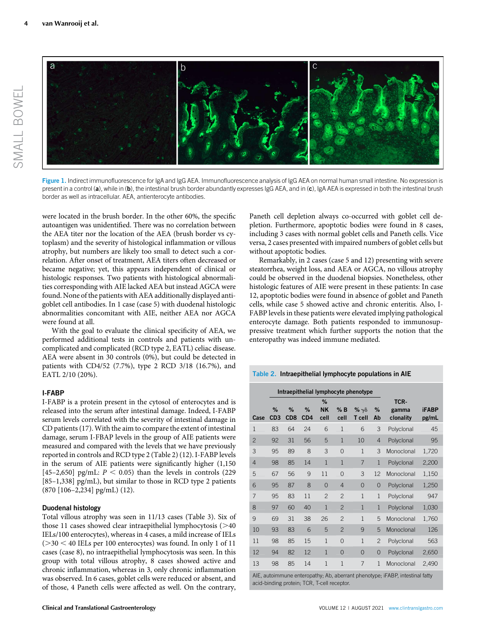

Figure 1. Indirect immunofluorescence for IgA and IgG AEA. Immunofluorescence analysis of IgG AEA on normal human small intestine. No expression is present in a control (a), while in (b), the intestinal brush border abundantly expresses IgG AEA, and in (c), IgA AEA is expressed in both the intestinal brush border as well as intracellular. AEA, antienterocyte antibodies.

were located in the brush border. In the other 60%, the specific autoantigen was unidentified. There was no correlation between the AEA titer nor the location of the AEA (brush border vs cytoplasm) and the severity of histological inflammation or villous atrophy, but numbers are likely too small to detect such a correlation. After onset of treatment, AEA titers often decreased or became negative; yet, this appears independent of clinical or histologic responses. Two patients with histological abnormalities corresponding with AIE lacked AEA but instead AGCA were found. None of the patients with AEA additionally displayed antigoblet cell antibodies. In 1 case (case 5) with duodenal histologic abnormalities concomitant with AIE, neither AEA nor AGCA were found at all.

With the goal to evaluate the clinical specificity of AEA, we performed additional tests in controls and patients with uncomplicated and complicated (RCD type 2, EATL) celiac disease. AEA were absent in 30 controls (0%), but could be detected in patients with CD4/52 (7.7%), type 2 RCD 3/18 (16.7%), and EATL 2/10 (20%).

## I-FABP

I-FABP is a protein present in the cytosol of enterocytes and is released into the serum after intestinal damage. Indeed, I-FABP serum levels correlated with the severity of intestinal damage in CD patients (17). With the aim to compare the extent of intestinal damage, serum I-FBAP levels in the group of AIE patients were measured and compared with the levels that we have previously reported in controls and RCD type 2 (Table 2) (12). I-FABP levels in the serum of AIE patients were significantly higher (1,150 [45–2,650] pg/mL:  $P < 0.05$ ) than the levels in controls (229) [85–1,338] pg/mL), but similar to those in RCD type 2 patients (870 [106–2,234] pg/mL) (12).

#### Duodenal histology

Total villous atrophy was seen in 11/13 cases (Table 3). Six of those 11 cases showed clear intraepithelial lymphocytosis  $(>40$ IELs/100 enterocytes), whereas in 4 cases, a mild increase of IELs  $(>30 < 40$  IELs per 100 enterocytes) was found. In only 1 of 11 cases (case 8), no intraepithelial lymphocytosis was seen. In this group with total villous atrophy, 8 cases showed active and chronic inflammation, whereas in 3, only chronic inflammation was observed. In 6 cases, goblet cells were reduced or absent, and of those, 4 Paneth cells were affected as well. On the contrary,

Paneth cell depletion always co-occurred with goblet cell depletion. Furthermore, apoptotic bodies were found in 8 cases, including 3 cases with normal goblet cells and Paneth cells. Vice versa, 2 cases presented with impaired numbers of goblet cells but without apoptotic bodies.

Remarkably, in 2 cases (case 5 and 12) presenting with severe steatorrhea, weight loss, and AEA or AGCA, no villous atrophy could be observed in the duodenal biopsies. Nonetheless, other histologic features of AIE were present in these patients: In case 12, apoptotic bodies were found in absence of goblet and Paneth cells, while case 5 showed active and chronic enteritis. Also, I-FABP levels in these patients were elevated implying pathological enterocyte damage. Both patients responded to immunosuppressive treatment which further supports the notion that the enteropathy was indeed immune mediated.

#### Table 2. Intraepithelial lymphocyte populations in AIE

|                                                                           |                      | Intraepithelial lymphocyte phenotype |                      |                        |                |                            |                |                            |                       |
|---------------------------------------------------------------------------|----------------------|--------------------------------------|----------------------|------------------------|----------------|----------------------------|----------------|----------------------------|-----------------------|
| Case                                                                      | %<br>CD <sub>3</sub> | %<br>CD <sub>8</sub>                 | %<br>CD <sub>4</sub> | %<br><b>NK</b><br>cell | % B<br>cell    | % $\gamma\delta$<br>T cell | %<br>Ab        | TCR-<br>gamma<br>clonality | <b>iFABP</b><br>pg/mL |
| $\mathbf{1}$                                                              | 83                   | 64                                   | 24                   | 6                      | $\mathbf{1}$   | 6                          | 3              | Polyclonal                 | 45                    |
| $\overline{c}$                                                            | 92                   | 31                                   | 56                   | 5                      | $\mathbf{1}$   | 10                         | $\overline{4}$ | Polyclonal                 | 95                    |
| 3                                                                         | 95                   | 89                                   | 8                    | 3                      | $\Omega$       | $\mathbf{1}$               | 3              | Monoclonal                 | 1,720                 |
| 4                                                                         | 98                   | 85                                   | 14                   | $\mathbf{1}$           | $\mathbf{1}$   | 7                          | $\mathbf{1}$   | Polyclonal                 | 2,200                 |
| 5                                                                         | 67                   | 56                                   | 9                    | 11                     | $\Omega$       | 3                          | 12             | Monoclonal                 | 1,150                 |
| 6                                                                         | 95                   | 87                                   | 8                    | $\Omega$               | $\overline{4}$ | $\overline{0}$             | $\overline{0}$ | Polyclonal                 | 1,250                 |
| $\overline{7}$                                                            | 95                   | 83                                   | 11                   | $\overline{c}$         | $\overline{c}$ | $\mathbf{1}$               | $\mathbf{1}$   | Polyclonal                 | 947                   |
| 8                                                                         | 97                   | 60                                   | 40                   | 1                      | $\overline{2}$ | 1                          | $\mathbf{1}$   | Polyclonal                 | 1,030                 |
| 9                                                                         | 69                   | 31                                   | 38                   | 26                     | $\overline{c}$ | $\mathbf{1}$               | 5              | Monoclonal                 | 1,760                 |
| 10                                                                        | 93                   | 83                                   | 6                    | 5                      | $\overline{2}$ | 9                          | 5              | Monoclonal                 | 126                   |
| 11                                                                        | 98                   | 85                                   | 15                   | $\mathbf{1}$           | $\Omega$       | $\mathbf{1}$               | $\overline{2}$ | Polyclonal                 | 563                   |
| 12                                                                        | 94                   | 82                                   | 12                   | $\mathbf{1}$           | $\overline{0}$ | $\overline{0}$             | $\overline{0}$ | Polyclonal                 | 2,650                 |
| 13                                                                        | 98                   | 85                                   | 14                   | $\mathbf{1}$           | $\mathbf{1}$   | $\overline{7}$             | $\mathbf{1}$   | Monoclonal                 | 2,490                 |
| ALE autoimmune enterprethy. Ab aberrant phenotype: iEARP intestinal fatty |                      |                                      |                      |                        |                |                            |                |                            |                       |

AIE, autoimmune enteropathy; Ab, aberrant phenotype; iFABP, intestinal fatty acid-binding protein; TCR, T-cell receptor.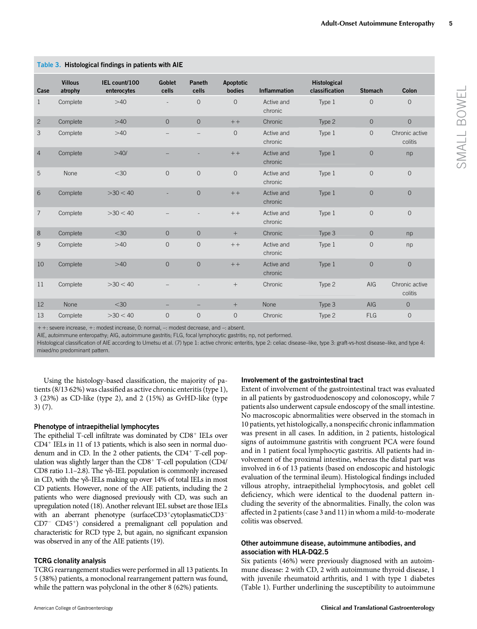| Case           | <b>Villous</b><br>atrophy | IEL count/100<br>enterocytes | <b>Goblet</b><br>cells | <b>Paneth</b><br>cells | <b>Apoptotic</b><br>bodies | <b>Inflammation</b>   | <b>Histological</b><br>classification | <b>Stomach</b> | Colon                     |
|----------------|---------------------------|------------------------------|------------------------|------------------------|----------------------------|-----------------------|---------------------------------------|----------------|---------------------------|
| $\mathbf{1}$   | Complete                  | >40                          |                        | $\Omega$               | $\Omega$                   | Active and<br>chronic | Type 1                                | $\overline{0}$ | $\overline{O}$            |
| $\overline{c}$ | Complete                  | >40                          | $\Omega$               | $\Omega$               | $++$                       | Chronic               | Type 2                                | $\overline{O}$ | $\overline{O}$            |
| 3              | Complete                  | $>40$                        |                        |                        | $\overline{O}$             | Active and<br>chronic | Type 1                                | $\overline{O}$ | Chronic active<br>colitis |
| $\overline{4}$ | Complete                  | >40/                         |                        |                        | $++$                       | Active and<br>chronic | Type 1                                | $\overline{O}$ | np                        |
| 5              | None                      | $<$ 30                       | $\Omega$               | $\Omega$               | $\overline{0}$             | Active and<br>chronic | Type 1                                | $\overline{0}$ | $\mathbf{O}$              |
| 6              | Complete                  | >30 < 40                     |                        | $\overline{0}$         | $++$                       | Active and<br>chronic | Type 1                                | $\overline{0}$ | $\overline{O}$            |
| $\overline{7}$ | Complete                  | >30 < 40                     |                        |                        | $++$                       | Active and<br>chronic | Type 1                                | $\overline{0}$ | $\overline{O}$            |
| 8              | Complete                  | $<$ 30                       | $\overline{0}$         | $\overline{0}$         | $+$                        | Chronic               | Type 3                                | $\overline{O}$ | np                        |
| 9              | Complete                  | $>40$                        | $\overline{0}$         | $\mathbf{O}$           | $++$                       | Active and<br>chronic | Type 1                                | 0              | np                        |
| 10             | Complete                  | $>40$                        | $\overline{0}$         | $\overline{O}$         | $++$                       | Active and<br>chronic | Type 1                                | $\overline{0}$ | $\overline{O}$            |
| 11             | Complete                  | >30 < 40                     |                        |                        | $^{+}$                     | Chronic               | Type 2                                | AIG            | Chronic active<br>colitis |
| 12             | <b>None</b>               | $<$ 30                       |                        |                        | $+$                        | <b>None</b>           | Type 3                                | AIG            | $\overline{0}$            |
| 13             | Complete                  | >30 < 40                     | $\overline{0}$         | $\overline{O}$         | $\overline{O}$             | Chronic               | Type 2                                | <b>FLG</b>     | $\mathbf{O}$              |

## Table 3. Histological findings in patients with AIE

+ +: severe increase, +: modest increase, 0: normal, -: modest decrease, and -: absent.

AIE, autoimmune enteropathy; AIG, autoimmune gastritis; FLG, focal lymphocytic gastritis; np, not performed.

Histological classification of AIE according to Umetsu et al. (7) type 1: active chronic enteritis, type 2: celiac disease-like, type 3: graft-vs-host disease-like, and type 4: mixed/no predominant pattern.

Using the histology-based classification, the majority of patients (8/13 62%) was classified as active chronic enteritis (type 1), 3 (23%) as CD-like (type 2), and 2 (15%) as GvHD-like (type 3) (7).

#### Phenotype of intraepithelial lymphocytes

The epithelial T-cell infiltrate was dominated by  $CDS<sup>+</sup>$  IELs over  $CD4<sup>+</sup> IELs$  in 11 of 13 patients, which is also seen in normal duodenum and in CD. In the 2 other patients, the  $CD4^+$  T-cell population was slightly larger than the  $CD8<sup>+</sup>$  T-cell population ( $CD4/$ CD8 ratio 1.1-2.8). The  $\gamma\delta$ -IEL population is commonly increased in CD, with the  $\gamma\delta$ -IELs making up over 14% of total IELs in most CD patients. However, none of the AIE patients, including the 2 patients who were diagnosed previously with CD, was such an upregulation noted (18). Another relevant IEL subset are those IELs with an aberrant phenotype (surfaceCD3+cytoplasmaticCD3- $CD7$ <sup>-</sup>  $CD45$ <sup>+</sup>) considered a premalignant cell population and characteristic for RCD type 2, but again, no significant expansion was observed in any of the AIE patients (19).

#### TCRG clonality analysis

TCRG rearrangement studies were performed in all 13 patients. In 5 (38%) patients, a monoclonal rearrangement pattern was found, while the pattern was polyclonal in the other 8 (62%) patients.

#### Involvement of the gastrointestinal tract

Extent of involvement of the gastrointestinal tract was evaluated in all patients by gastroduodenoscopy and colonoscopy, while 7 patients also underwent capsule endoscopy of the small intestine. No macroscopic abnormalities were observed in the stomach in 10 patients, yet histologically, a nonspecific chronic inflammation was present in all cases. In addition, in 2 patients, histological signs of autoimmune gastritis with congruent PCA were found and in 1 patient focal lymphocytic gastritis. All patients had involvement of the proximal intestine, whereas the distal part was involved in 6 of 13 patients (based on endoscopic and histologic evaluation of the terminal ileum). Histological findings included villous atrophy, intraepithelial lymphocytosis, and goblet cell deficiency, which were identical to the duodenal pattern including the severity of the abnormalities. Finally, the colon was affected in 2 patients (case 3 and 11) in whom a mild-to-moderate colitis was observed.

## Other autoimmune disease, autoimmune antibodies, and association with HLA-DQ2.5

Six patients (46%) were previously diagnosed with an autoimmune disease: 2 with CD, 2 with autoimmune thyroid disease, 1 with juvenile rheumatoid arthritis, and 1 with type 1 diabetes (Table 1). Further underlining the susceptibility to autoimmune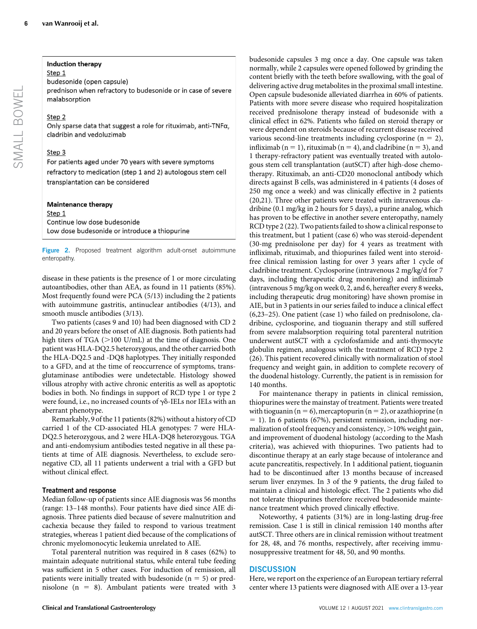## Induction therapy

Step 1 budesonide (open capsule)

prednison when refractory to budesonide or in case of severe malabsorption

## Step 2

Only sparse data that suggest a role for rituximab, anti-TNFa, cladribin and vedoluzimab

## Step 3

For patients aged under 70 years with severe symptoms refractory to medication (step 1 and 2) autologous stem cell transplantation can be considered

## **Maintenance therapy**

Step 1 Continue low dose budesonide Low dose budesonide or introduce a thiopurine

Figure 2. Proposed treatment algorithm adult-onset autoimmune enteropathy.

disease in these patients is the presence of 1 or more circulating autoantibodies, other than AEA, as found in 11 patients (85%). Most frequently found were PCA (5/13) including the 2 patients with autoimmune gastritis, antinuclear antibodies (4/13), and smooth muscle antibodies (3/13).

Two patients (cases 9 and 10) had been diagnosed with CD 2 and 20 years before the onset of AIE diagnosis. Both patients had high titers of TGA ( $>$ 100 U/mL) at the time of diagnosis. One patient was HLA-DQ2.5 heterozygous, and the other carried both the HLA-DQ2.5 and -DQ8 haplotypes. They initially responded to a GFD, and at the time of reoccurrence of symptoms, transglutaminase antibodies were undetectable. Histology showed villous atrophy with active chronic enteritis as well as apoptotic bodies in both. No findings in support of RCD type 1 or type 2 were found, i.e., no increased counts of  $\gamma\delta$ -IELs nor IELs with an aberrant phenotype.

Remarkably, 9 of the 11 patients (82%) without a history of CD carried 1 of the CD-associated HLA genotypes: 7 were HLA-DQ2.5 heterozygous, and 2 were HLA-DQ8 heterozygous. TGA and anti-endomysium antibodies tested negative in all these patients at time of AIE diagnosis. Nevertheless, to exclude seronegative CD, all 11 patients underwent a trial with a GFD but without clinical effect.

## Treatment and response

Median follow-up of patients since AIE diagnosis was 56 months (range: 13–148 months). Four patients have died since AIE diagnosis. Three patients died because of severe malnutrition and cachexia because they failed to respond to various treatment strategies, whereas 1 patient died because of the complications of chronic myelomonocytic leukemia unrelated to AIE.

Total parenteral nutrition was required in 8 cases (62%) to maintain adequate nutritional status, while enteral tube feeding was sufficient in 5 other cases. For induction of remission, all patients were initially treated with budesonide ( $n = 5$ ) or prednisolone ( $n = 8$ ). Ambulant patients were treated with 3 budesonide capsules 3 mg once a day. One capsule was taken normally, while 2 capsules were opened followed by grinding the content briefly with the teeth before swallowing, with the goal of delivering active drug metabolites in the proximal small intestine. Open capsule budesonide alleviated diarrhea in 60% of patients. Patients with more severe disease who required hospitalization received prednisolone therapy instead of budesonide with a clinical effect in 62%. Patients who failed on steroid therapy or were dependent on steroids because of recurrent disease received various second-line treatments including cyclosporine  $(n = 2)$ , infliximab ( $n = 1$ ), rituximab ( $n = 4$ ), and cladribine ( $n = 3$ ), and 1 therapy-refractory patient was eventually treated with autologous stem cell transplantation (autSCT) after high-dose chemotherapy. Rituximab, an anti-CD20 monoclonal antibody which directs against B cells, was administered in 4 patients (4 doses of 250 mg once a week) and was clinically effective in 2 patients (20,21). Three other patients were treated with intravenous cladribine (0.1 mg/kg in 2 hours for 5 days), a purine analog, which has proven to be effective in another severe enteropathy, namely RCD type 2 (22). Two patients failed to show a clinical response to this treatment, but 1 patient (case 6) who was steroid-dependent (30-mg prednisolone per day) for 4 years as treatment with infliximab, rituximab, and thiopurines failed went into steroidfree clinical remission lasting for over 3 years after 1 cycle of cladribine treatment. Cyclosporine (intravenous 2 mg/kg/d for 7 days, including therapeutic drug monitoring) and infliximab (intravenous 5 mg/kg on week 0, 2, and 6, hereafter every 8 weeks, including therapeutic drug monitoring) have shown promise in AIE, but in 3 patients in our series failed to induce a clinical effect (6,23–25). One patient (case 1) who failed on prednisolone, cladribine, cyclosporine, and tioguanin therapy and still suffered from severe malabsorption requiring total parenteral nutrition underwent autSCT with a cyclofosfamide and anti-thymocyte globulin regimen, analogous with the treatment of RCD type 2 (26). This patient recovered clinically with normalization of stool frequency and weight gain, in addition to complete recovery of the duodenal histology. Currently, the patient is in remission for 140 months.

For maintenance therapy in patients in clinical remission, thiopurines were the mainstay of treatment. Patients were treated with tioguanin ( $n = 6$ ), mercaptopurin ( $n = 2$ ), or azathioprine (n  $= 1$ ). In 6 patients (67%), persistent remission, including normalization of stool frequency and consistency,  $>10\%$  weight gain, and improvement of duodenal histology (according to the Mash criteria), was achieved with thiopurines. Two patients had to discontinue therapy at an early stage because of intolerance and acute pancreatitis, respectively. In 1 additional patient, tioguanin had to be discontinued after 13 months because of increased serum liver enzymes. In 3 of the 9 patients, the drug failed to maintain a clinical and histologic effect. The 2 patients who did not tolerate thiopurines therefore received budesonide maintenance treatment which proved clinically effective.

Noteworthy, 4 patients (31%) are in long-lasting drug-free remission. Case 1 is still in clinical remission 140 months after autSCT. Three others are in clinical remission without treatment for 28, 48, and 76 months, respectively, after receiving immunosuppressive treatment for 48, 50, and 90 months.

## **DISCUSSION**

Here, we report on the experience of an European tertiary referral center where 13 patients were diagnosed with AIE over a 13-year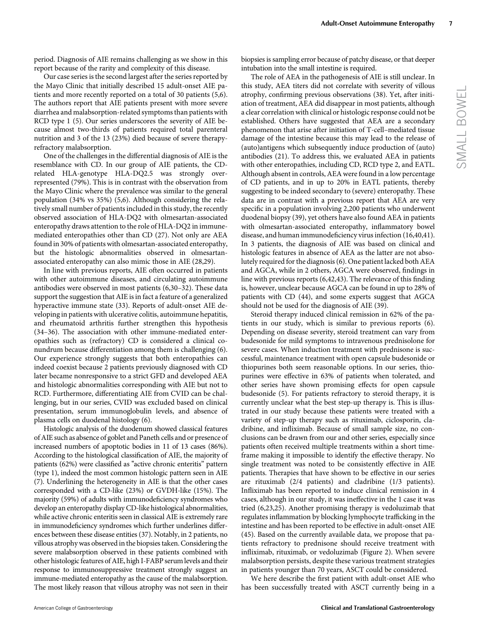period. Diagnosis of AIE remains challenging as we show in this report because of the rarity and complexity of this disease.

Our case series is the second largest after the series reported by the Mayo Clinic that initially described 15 adult-onset AIE patients and more recently reported on a total of 30 patients (5,6). The authors report that AIE patients present with more severe diarrhea and malabsorption-related symptoms than patients with RCD type 1 (5). Our series underscores the severity of AIE because almost two-thirds of patients required total parenteral nutrition and 3 of the 13 (23%) died because of severe therapyrefractory malabsorption.

One of the challenges in the differential diagnosis of AIE is the resemblance with CD. In our group of AIE patients, the CDrelated HLA-genotype HLA-DQ2.5 was strongly overrepresented (79%). This is in contrast with the observation from the Mayo Clinic where the prevalence was similar to the general population (34% vs 35%) (5,6). Although considering the relatively small number of patients included in this study, the recently observed association of HLA-DQ2 with olmesartan-associated enteropathy draws attention to the role of HLA-DQ2 in immunemediated enteropathies other than CD (27). Not only are AEA found in 30% of patients with olmesartan-associated enteropathy, but the histologic abnormalities observed in olmesartanassociated enteropathy can also mimic those in AIE (28,29).

In line with previous reports, AIE often occurred in patients with other autoimmune diseases, and circulating autoimmune antibodies were observed in most patients (6,30–32). These data support the suggestion that AIE is in fact a feature of a generalized hyperactive immune state (33). Reports of adult-onset AIE developing in patients with ulcerative colitis, autoimmune hepatitis, and rheumatoid arthritis further strengthen this hypothesis (34–36). The association with other immune-mediated enteropathies such as (refractory) CD is considered a clinical conundrum because differentiation among them is challenging (6). Our experience strongly suggests that both enteropathies can indeed coexist because 2 patients previously diagnosed with CD later became nonresponsive to a strict GFD and developed AEA and histologic abnormalities corresponding with AIE but not to RCD. Furthermore, differentiating AIE from CVID can be challenging, but in our series, CVID was excluded based on clinical presentation, serum immunoglobulin levels, and absence of plasma cells on duodenal histology (6).

Histologic analysis of the duodenum showed classical features of AIE such as absence of goblet and Paneth cells and or presence of increased numbers of apoptotic bodies in 11 of 13 cases (86%). According to the histological classification of AIE, the majority of patients (62%) were classified as "active chronic enteritis" pattern (type 1), indeed the most common histologic pattern seen in AIE (7). Underlining the heterogeneity in AIE is that the other cases corresponded with a CD-like (23%) or GVDH-like (15%). The majority (59%) of adults with immunodeficiency syndromes who develop an enteropathy display CD-like histological abnormalities, while active chronic enteritis seen in classical AIE is extremely rare in immunodeficiency syndromes which further underlines differences between these disease entities (37). Notably, in 2 patients, no villous atrophy was observed in the biopsies taken. Considering the severe malabsorption observed in these patients combined with other histologic features of AIE, high I-FABP serum levels and their response to immunosuppressive treatment strongly suggest an immune-mediated enteropathy as the cause of the malabsorption. The most likely reason that villous atrophy was not seen in their biopsies is sampling error because of patchy disease, or that deeper intubation into the small intestine is required.

The role of AEA in the pathogenesis of AIE is still unclear. In this study, AEA titers did not correlate with severity of villous atrophy, confirming previous observations (38). Yet, after initiation of treatment, AEA did disappear in most patients, although a clear correlation with clinical or histologic response could not be established. Others have suggested that AEA are a secondary phenomenon that arise after initiation of T-cell–mediated tissue damage of the intestine because this may lead to the release of (auto)antigens which subsequently induce production of (auto) antibodies (21). To address this, we evaluated AEA in patients with other enteropathies, including CD, RCD type 2, and EATL. Although absent in controls, AEA were found in a low percentage of CD patients, and in up to 20% in EATL patients, thereby suggesting to be indeed secondary to (severe) enteropathy. These data are in contrast with a previous report that AEA are very specific in a population involving 2,200 patients who underwent duodenal biopsy (39), yet others have also found AEA in patients with olmesartan-associated enteropathy, inflammatory bowel disease, and human immunodeficiency virus infection (16,40,41). In 3 patients, the diagnosis of AIE was based on clinical and histologic features in absence of AEA as the latter are not absolutely required for the diagnosis (6). One patient lacked both AEA and AGCA, while in 2 others, AGCA were observed, findings in line with previous reports (6,42,43). The relevance of this finding is, however, unclear because AGCA can be found in up to 28% of patients with CD (44), and some experts suggest that AGCA should not be used for the diagnosis of AIE (39).

Steroid therapy induced clinical remission in 62% of the patients in our study, which is similar to previous reports (6). Depending on disease severity, steroid treatment can vary from budesonide for mild symptoms to intravenous prednisolone for severe cases. When induction treatment with prednisone is successful, maintenance treatment with open capsule budesonide or thiopurines both seem reasonable options. In our series, thiopurines were effective in 63% of patients when tolerated, and other series have shown promising effects for open capsule budesonide (5). For patients refractory to steroid therapy, it is currently unclear what the best step-up therapy is. This is illustrated in our study because these patients were treated with a variety of step-up therapy such as rituximab, ciclosporin, cladribine, and infliximab. Because of small sample size, no conclusions can be drawn from our and other series, especially since patients often received multiple treatments within a short timeframe making it impossible to identify the effective therapy. No single treatment was noted to be consistently effective in AIE patients. Therapies that have shown to be effective in our series are rituximab (2/4 patients) and cladribine (1/3 patients). Infliximab has been reported to induce clinical remission in 4 cases, although in our study, it was ineffective in the 1 case it was tried (6,23,25). Another promising therapy is vedoluzimab that regulates inflammation by blocking lymphocyte trafficking in the intestine and has been reported to be effective in adult-onset AIE (45). Based on the currently available data, we propose that patients refractory to prednisone should receive treatment with infliximab, rituximab, or vedoluzimab (Figure 2). When severe malabsorption persists, despite these various treatment strategies in patients younger than 70 years, ASCT could be considered.

We here describe the first patient with adult-onset AIE who has been successfully treated with ASCT currently being in a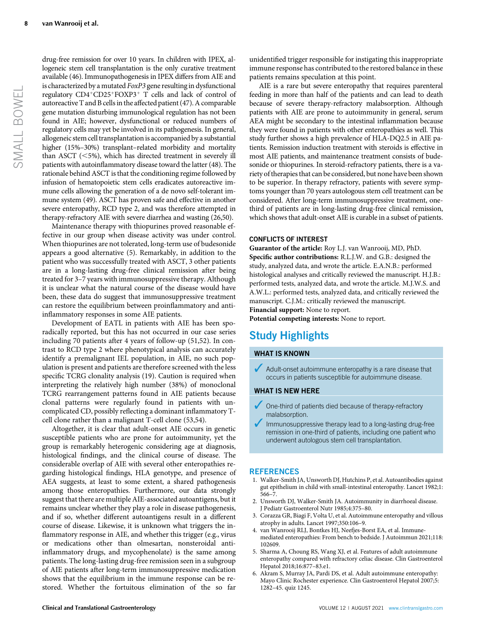drug-free remission for over 10 years. In children with IPEX, allogeneic stem cell transplantation is the only curative treatment available (46). Immunopathogenesis in IPEX differs from AIE and is characterized by a mutated FoxP3 gene resulting in dysfunctional regulatory CD4+CD25+FOXP3+ T cells and lack of control of autoreactive T and B cells in the affected patient (47). A comparable gene mutation disturbing immunological regulation has not been found in AIE; however, dysfunctional or reduced numbers of regulatory cells may yet be involved in its pathogenesis. In general, allogeneic stem cell transplantation is accompanied by a substantial higher (15%–30%) transplant–related morbidity and mortality than ASCT  $(<5%)$ , which has directed treatment in severely ill patients with autoinflammatory disease toward the latter (48). The rationale behind ASCT is that the conditioning regime followed by infusion of hematopoietic stem cells eradicates autoreactive immune cells allowing the generation of a de novo self-tolerant immune system (49). ASCT has proven safe and effective in another severe enteropathy, RCD type 2, and was therefore attempted in therapy-refractory AIE with severe diarrhea and wasting (26,50).

Maintenance therapy with thiopurines proved reasonable effective in our group when disease activity was under control. When thiopurines are not tolerated, long-term use of budesonide appears a good alternative (5). Remarkably, in addition to the patient who was successfully treated with ASCT, 3 other patients are in a long-lasting drug-free clinical remission after being treated for 3–7 years with immunosuppressive therapy. Although it is unclear what the natural course of the disease would have been, these data do suggest that immunosuppressive treatment can restore the equilibrium between proinflammatory and antiinflammatory responses in some AIE patients.

Development of EATL in patients with AIE has been sporadically reported, but this has not occurred in our case series including 70 patients after 4 years of follow-up (51,52). In contrast to RCD type 2 where phenotypical analysis can accurately identify a premalignant IEL population, in AIE, no such population is present and patients are therefore screened with the less specific TCRG clonality analysis (19). Caution is required when interpreting the relatively high number (38%) of monoclonal TCRG rearrangement patterns found in AIE patients because clonal patterns were regularly found in patients with uncomplicated CD, possibly reflecting a dominant inflammatory Tcell clone rather than a malignant T-cell clone (53,54).

Altogether, it is clear that adult-onset AIE occurs in genetic susceptible patients who are prone for autoimmunity, yet the group is remarkably heterogenic considering age at diagnosis, histological findings, and the clinical course of disease. The considerable overlap of AIE with several other enteropathies regarding histological findings, HLA genotype, and presence of AEA suggests, at least to some extent, a shared pathogenesis among those enteropathies. Furthermore, our data strongly suggest that there are multiple AIE-associated autoantigens, but it remains unclear whether they play a role in disease pathogenesis, and if so, whether different autoantigens result in a different course of disease. Likewise, it is unknown what triggers the inflammatory response in AIE, and whether this trigger (e.g., virus or medications other than olmesartan, nonsteroidal antiinflammatory drugs, and mycophenolate) is the same among patients. The long-lasting drug-free remission seen in a subgroup of AIE patients after long-term immunosuppressive medication shows that the equilibrium in the immune response can be restored. Whether the fortuitous elimination of the so far

unidentified trigger responsible for instigating this inappropriate immune response has contributed to the restored balance in these patients remains speculation at this point.

AIE is a rare but severe enteropathy that requires parenteral feeding in more than half of the patients and can lead to death because of severe therapy-refractory malabsorption. Although patients with AIE are prone to autoimmunity in general, serum AEA might be secondary to the intestinal inflammation because they were found in patients with other enteropathies as well. This study further shows a high prevalence of HLA-DQ2.5 in AIE patients. Remission induction treatment with steroids is effective in most AIE patients, and maintenance treatment consists of budesonide or thiopurines. In steroid-refractory patients, there is a variety of therapies that can be considered, but none have been shown to be superior. In therapy refractory, patients with severe symptoms younger than 70 years autologous stem cell treatment can be considered. After long-term immunosuppressive treatment, onethird of patients are in long-lasting drug-free clinical remission, which shows that adult-onset AIE is curable in a subset of patients.

#### CONFLICTS OF INTEREST

Guarantor of the article: Roy L.J. van Wanrooij, MD, PhD. Specific author contributions: R.L.J.W. and G.B.: designed the study, analyzed data, and wrote the article. E.A.N.B.: performed histological analyses and critically reviewed the manuscript. H.J.B.: performed tests, analyzed data, and wrote the article. M.J.W.S. and A.W.L.: performed tests, analyzed data, and critically reviewed the manuscript. C.J.M.: critically reviewed the manuscript. Financial support: None to report.

Potential competing interests: None to report.

## Study Highlights

#### WHAT IS KNOWN

 $\blacktriangleright$  Adult-onset autoimmune enteropathy is a rare disease that occurs in patients susceptible for autoimmune disease.

## WHAT IS NEW HERE

- 3 One-third of patients died because of therapy-refractory malabsorption.
- Immunosuppressive therapy lead to a long-lasting drug-free remission in one-third of patients, including one patient who underwent autologous stem cell transplantation.

#### **REFERENCES**

- 1. Walker-Smith JA, Unsworth DJ, Hutchins P, et al. Autoantibodies against gut epithelium in child with small-intestinal enteropathy. Lancet 1982;1: 566–7.
- 2. Unsworth DJ, Walker-Smith JA. Autoimmunity in diarrhoeal disease. J Pediatr Gastroenterol Nutr 1985;4:375–80.
- 3. Corazza GR, Biagi F, Volta U, et al. Autoimmune enteropathy and villous atrophy in adults. Lancet 1997;350:106–9.
- 4. van Wanrooij RLJ, Bontkes HJ, Neefjes-Borst EA, et al. Immunemediated enteropathies: From bench to bedside. J Autoimmun 2021;118: 102609.
- 5. Sharma A, Choung RS, Wang XJ, et al. Features of adult autoimmune enteropathy compared with refractory celiac disease. Clin Gastroenterol Hepatol 2018;16:877–83.e1.
- 6. Akram S, Murray JA, Pardi DS, et al. Adult autoimmune enteropathy: Mayo Clinic Rochester experience. Clin Gastroenterol Hepatol 2007;5: 1282–45. quiz 1245.